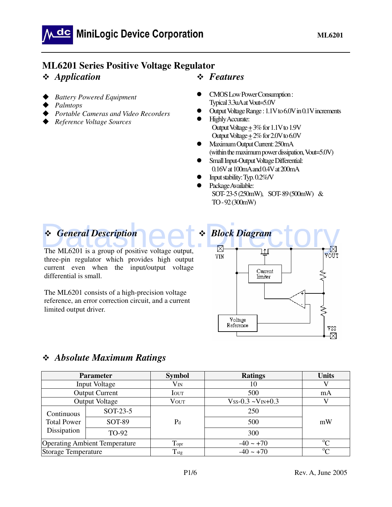## **ML6201 Series Positive Voltage Regulator**

- *Application*
- $\blacklozenge$ *Battery Powered Equipment*
- $\blacklozenge$ *Palmtops*
- $\blacklozenge$ *Portable Cameras and Video Recorders*
- *Reference Voltage Sources*

### *Features*

- CMOS Low Power Consumption : Typical 3.3uA at Vout=5.0V
- Output Voltage Range : 1.1V to 6.0V in 0.1V increments
- Highly Accurate: Output Voltage + 3% for 1.1V to 1.9V Output Voltage  $\pm 2\%$  for 2.0V to 6.0V
- Maximum Output Current: 250mA (within the maximum power dissipation, Vout=5.0V)
- Small Input-Output Voltage Differential: 0.16V at 100mA and 0.4V at 200mA
- Input stability: Typ. 0.2%/V
- Package Available: SOT- 23-5 (250mW), SOT- 89 (500mW) & TO - 92 (300mW)

# *General Description*

The ML6201 is a group of positive voltage output, three-pin regulator which provides high output current even when the input/output voltage differential is small.

The ML6201 consists of a high-precision voltage reference, an error correction circuit, and a current limited output driver.



## *Absolute Maximum Ratings*

| <b>Parameter</b>                     |                       | <b>Symbol</b>    | <b>Ratings</b>                     | <b>Units</b> |
|--------------------------------------|-----------------------|------------------|------------------------------------|--------------|
|                                      | Input Voltage         | $V_{IN}$         | 10                                 |              |
|                                      | <b>Output Current</b> | <b>IOUT</b>      | 500                                | mA           |
|                                      | Output Voltage        | <b>VOUT</b>      | $V$ ss-0.3 ~ $V$ <sub>IN+0.3</sub> |              |
| Continuous                           | SOT-23-5              |                  | 250                                |              |
| <b>Total Power</b>                   | <b>SOT-89</b>         | $P_d$            | 500                                | mW           |
| Dissipation<br>TO-92                 |                       |                  | 300                                |              |
| <b>Operating Ambient Temperature</b> |                       | Topr             | $-40 \sim +70$                     | $\alpha$     |
| Storage Temperature                  |                       | T <sub>stg</sub> | $-40 \sim +70$                     | $\alpha$     |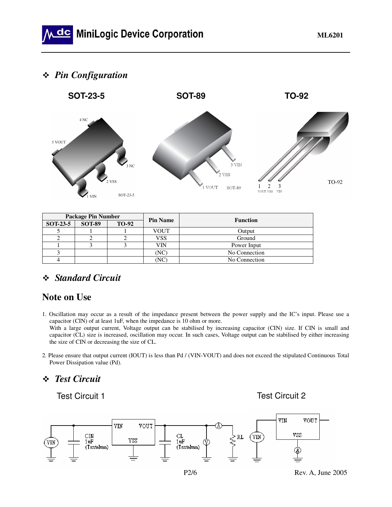## *Pin Configuration*



| <b>Package Pin Number</b> |               |              | <b>Pin Name</b> | <b>Function</b> |
|---------------------------|---------------|--------------|-----------------|-----------------|
| <b>SOT-23-5</b>           | <b>SOT-89</b> | <b>TO-92</b> |                 |                 |
|                           |               |              | <b>VOUT</b>     | Output          |
|                           |               |              | VSS             | Ground          |
|                           |               |              | VIN             | Power Input     |
|                           |               |              | (NC             | No Connection   |
|                           |               |              | NC              | No Connection   |

## *Standard Circuit*

## **Note on Use**

1. Oscillation may occur as a result of the impedance present between the power supply and the IC's input. Please use a capacitor (CIN) of at least 1uF, when the impedance is 10 ohm or more.

With a large output current, Voltage output can be stabilised by increasing capacitor (CIN) size. If CIN is small and capacitor (CL) size is increased, oscillation may occur. In such cases, Voltage output can be stabilised by either increasing the size of CIN or decreasing the size of CL.

2. Please ensure that output current (IOUT) is less than Pd / (VIN-VOUT) and does not exceed the stipulated Continuous Total Power Dissipation value (Pd).

## *Test Circuit*

Test Circuit 1

Test Circuit 2



P2/6 Rev. A, June 2005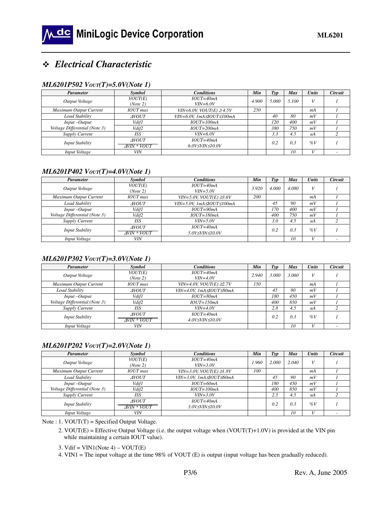## *Electrical Characteristic*

#### *ML6201P502 VOUT(T)=5.0V(Note 1)*

| <b>Parameter</b>              | <b>Symbol</b>                                    | <b>Conditions</b>                                    | Min   | Tvp        | Max   | <b>Units</b> | <b>Circuit</b> |
|-------------------------------|--------------------------------------------------|------------------------------------------------------|-------|------------|-------|--------------|----------------|
| Output Voltage                | VOUT(E)<br>$IOUT=40mA$<br>$VIN=6.0V$<br>(Note 2) |                                                      | 4.900 | 5.000      | 5.100 | V            |                |
| Maximum Output Current        | <b>IOUT</b> max                                  | VIN=6.0V, VOUT(E) $\geq$ 4.5V                        | 250   |            |       | mA           |                |
| Load Stability                | <b>AVOUT</b>                                     | $VIN = 6.0V$ . 1mA $\triangle$ OUT $\triangle$ 100mA |       | 40         | 80    | mV           |                |
| $Input - Output$              | Vdif1                                            | $IOUT=100mA$                                         |       | <i>120</i> | 400   | mV           |                |
| Voltage Differential (Note 3) | Vdif2                                            | $IOUT=200mA$                                         |       | 380        | 750   | mV           |                |
| Supply Current                | ISS                                              | $VIN = 6.0V$                                         |       | 3.3        | 4.5   | uA           |                |
| <b>Input Stability</b>        | <b>AVOUT</b><br>AVIN * VOUT                      | $IOUT=40mA$<br>$6.0V \leq VIN \leq 10.0V$            |       | 0.2        | 0.3   | $\%V$        |                |
| Input Voltage                 | <b>VIN</b>                                       |                                                      |       |            | 10    |              |                |

#### *ML6201P402 VOUT(T)=4.0V(Note 1)*

| Parameter                     | Symbol              | <b>Conditions</b>             | Min   | Typ   | <b>Max</b> | <b>Units</b>    | <b>Circuit</b> |
|-------------------------------|---------------------|-------------------------------|-------|-------|------------|-----------------|----------------|
| Output Voltage                | VOUT(E)<br>(Note 2) | $IOUT=40mA$<br>$VIN = 5.0V$   | 3.920 | 4.000 | 4.080      | V               |                |
|                               | <b>IOUT</b> max     |                               | 200   |       |            |                 |                |
| Maximum Output Current        |                     | VIN=5.0V, VOUT(E) $\geq 3.6V$ |       |       |            | mA              |                |
| Load Stability                | <b>AVOUT</b>        | VIN=5.0V, 1mA≤IOUT≤100mA      |       | 45    | 90         | mV              |                |
| $Input - Output$              | Vdif1               | $IOUT=90mA$                   |       | 170   | 400        | mV              |                |
| Voltage Differential (Note 3) | Vdif2               | $IOUT=180mA$                  |       | 400   | 750        | mV              |                |
| Supply Current                | <b>ISS</b>          | $VIN = 5.0V$                  |       | 3.0   | 4.5        | $\mathcal{U}$ A |                |
| <b>Input Stability</b>        | <b>AVOUT</b>        | $IOUT=40mA$                   |       | 0.2   | 0.3        | $\%V$           |                |
|                               | <b>AVIN * VOUT</b>  | 5.0V≤VIN≤10.0V                |       |       |            |                 |                |
| Input Voltage                 | VIN                 |                               |       |       | 10         |                 |                |

#### *ML6201P302 VOUT(T)=3.0V(Note 1)*

| <i>Parameter</i>              | Symbol              | <b>Conditions</b>             | Min   | Type  | <b>Max</b> | <b>Units</b>   | Circuit |
|-------------------------------|---------------------|-------------------------------|-------|-------|------------|----------------|---------|
| Output Voltage                | VOUT(E)             | $IOUT=40mA$                   | 2.940 | 3.000 | 3.060      |                |         |
|                               | (Note 2)            | $VIN = 4.0V$                  |       |       |            |                |         |
| Maximum Output Current        | <b>IOUT</b> max     | VIN=4.0V, VOUT(E) $\geq 2.7V$ | 150   |       |            | mA             |         |
| Load Stability                | <b>AVOUT</b>        | VIN=4.0V. 1mA≤IOUT≤80mA       |       | 45    | 90         | mV             |         |
| $Input - Output$              | Vdif1               | $IOUT=80mA$                   |       | 180   | 450        | mV             |         |
| Voltage Differential (Note 3) | Vdif2               | $IOUT=150mA$                  |       | 400   | 850        | mV             |         |
| <b>Supply Current</b>         | ISS                 | $VIN = 4.0V$                  |       | 2.8   | 4.5        | $\mathcal{U}A$ |         |
| <b>Input Stability</b>        | <b>AVOUT</b>        | $IOUT=40mA$                   |       | 0.2   | 0.3        | $\%V$          |         |
|                               | $\Delta$ VIN * VOUT | $4.0V \leq VIN \leq 10.0V$    |       |       |            |                |         |
| Input Voltage                 | VIN                 |                               |       |       | 10         |                |         |

#### *ML6201P202 VOUT(T)=2.0V(Note 1)*

| Parameter                     | Symbol                              | <b>Conditions</b>                         | Min | Typ   | <b>Max</b> | <b>Units</b> | Circuit |
|-------------------------------|-------------------------------------|-------------------------------------------|-----|-------|------------|--------------|---------|
| Output Voltage                | VOUT(E)<br>(Note 2)                 | $IOUT=40mA$<br>$VIN = 3.0V$               |     | 2.000 | 2.040      | V            |         |
| Maximum Output Current        | <b>IOUT</b> max                     | VIN=3.0V, VOUT(E) $\geq 1.8V$             | 100 |       |            | mA           |         |
| Load Stability                | <b>AVOUT</b>                        | VIN=3.0V. 1mA≤IOUT≤60mA                   |     | 45    | 90         | mV           |         |
| $Input - Output$              | Vdif1                               | $IOUT=60mA$                               |     | 180   | 450        | mV           |         |
| Voltage Differential (Note 3) | Vdif2                               | $IOUT=100mA$                              |     | 400   | 850        | mV           |         |
| Supply Current                | <b>ISS</b>                          | $VIN = 3.0V$                              |     | 2.5   | 4.5        | uA           |         |
| <b>Input Stability</b>        | <b>AVOUT</b><br>$\Delta$ VIN * VOUT | $IOUT=40mA$<br>$3.0V \leq VIN \leq 10.0V$ |     | 0.2   | 0.3        | $\%V$        |         |
| Input Voltage                 | <b>VIN</b>                          |                                           |     |       | 10         |              |         |

Note : 1. VOUT(T) = Specified Output Voltage.

 2. VOUT(E) = Effective Output Voltage (i.e. the output voltage when (VOUT(T)+1.0V) is provided at the VIN pin while maintaining a certain IOUT value).

3. Vdif = VIN1(Note 4) – VOUT(E)

4. VIN1 = The input voltage at the time 98% of VOUT (E) is output (input voltage has been gradually reduced).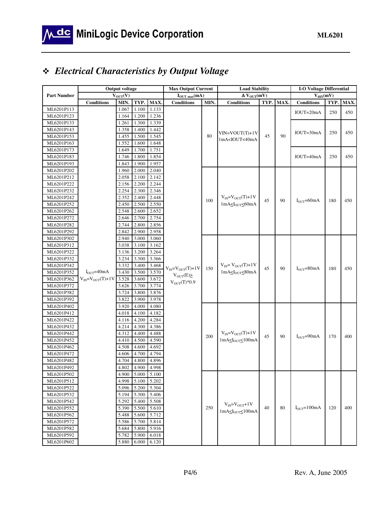## *Electrical Characteristics by Output Voltage*

|                          |                            | <b>Output voltage</b> |                |                | <b>Max Output Current</b>  |      | <b>Load Stability</b>                                                                |      |      | <b>I-O Voltage Differential</b> |      |      |
|--------------------------|----------------------------|-----------------------|----------------|----------------|----------------------------|------|--------------------------------------------------------------------------------------|------|------|---------------------------------|------|------|
| <b>Part Number</b>       |                            | $V_{\text{OUT}}(V)$   |                |                | $I_{\text{OUT max}}(mA)$   |      | $\Delta V_{\text{OUT}}(mV)$                                                          |      |      | $\overline{V}_{diff}(mV)$       |      |      |
|                          | <b>Conditions</b>          | MIN.                  | TYP.           | MAX.           | <b>Conditions</b>          | MIN. | <b>Conditions</b>                                                                    | TYP. | MAX. | <b>Conditions</b>               | TYP. | MAX. |
| ML6201P113               |                            | 1.067                 | 1.100          | 1.133          |                            |      |                                                                                      |      |      | $IOUT=20mA$                     | 250  | 450  |
| ML6201P123               |                            | 1.164                 | 1.200          | 1.236          |                            |      |                                                                                      |      |      |                                 |      |      |
| ML6201P133               |                            | 1.261                 | 1.300          | 1.339          |                            |      |                                                                                      |      |      |                                 |      |      |
| ML6201P143               |                            | 1.358                 | 1.400          | 1.442          |                            |      | $VIN=VOUT(T)+1V$                                                                     |      |      | $IOUT=30mA$                     | 250  | 450  |
| ML6201P153               |                            | 1.455                 | 1.500          | 1.545          |                            | 80   | 1mA <iout<40ma< td=""><td>45</td><td>90</td><td></td><td></td><td></td></iout<40ma<> | 45   | 90   |                                 |      |      |
| ML6201P163               |                            | 1.552                 | 1.600          | 1.648          |                            |      |                                                                                      |      |      |                                 |      |      |
| ML6201P173               |                            | 1.649                 | 1.700          | 1.751          |                            |      |                                                                                      |      |      |                                 |      |      |
| ML6201P183               |                            | 1.746                 | 1.800          | 1.854          |                            |      |                                                                                      |      |      | $IOUT=40mA$                     | 250  | 450  |
| ML6201P193               |                            | 1.843                 | 1.900          | 1.957          |                            |      |                                                                                      |      |      |                                 |      |      |
| ML6201P202               |                            | 1.960                 | 2.000          | 2.040          |                            |      |                                                                                      |      |      |                                 |      |      |
| ML6201P212               |                            | 2.058                 | 2.100          | 2.142          |                            |      |                                                                                      |      |      |                                 |      |      |
| ML6201P222               |                            | 2.156                 | 2.200          | 2.244          |                            |      |                                                                                      |      |      |                                 |      |      |
| ML6201P232               |                            | 2.254                 | 2.300          | 2.346          |                            |      |                                                                                      |      |      |                                 |      |      |
| ML6201P242               |                            | 2.352                 | 2.400          | 2.448          |                            | 100  | $V_{IN} = V_{OUT}(T) + 1V$                                                           | 45   | 90   | $I_{\mathrm{OUT}}$ = 60mA       | 180  | 450  |
| ML6201P252               |                            | 2.450                 | 2.500          | 2.550          |                            |      | $1mA \leq I_{\text{OUT}} \leq 60mA$                                                  |      |      |                                 |      |      |
| ML6201P262               |                            | 2.548                 | 2.600          | 2.652          |                            |      |                                                                                      |      |      |                                 |      |      |
| ML6201P272               |                            | 2.646                 | 2.700          | 2.754          |                            |      |                                                                                      |      |      |                                 |      |      |
| ML6201P282               |                            | 2.744                 | 2.800          | 2.856          |                            |      |                                                                                      |      |      |                                 |      |      |
| ML6201P292               |                            | 2.842                 | 2.900          | 2.958          |                            |      |                                                                                      |      |      |                                 |      |      |
| ML6201P302               |                            | 2.940                 | 3.000          | 3.060          |                            |      |                                                                                      |      |      |                                 |      |      |
| ML6201P312               |                            | 3.038                 | 3.100          | 3.162          |                            |      |                                                                                      |      |      |                                 |      |      |
| ML6201P322               |                            | 3.136                 | 3.200          | 3.264          |                            |      |                                                                                      |      |      |                                 |      |      |
| ML6201P332               |                            | 3.234                 | 3.300          | 3.366          |                            |      |                                                                                      |      |      |                                 |      |      |
| ML6201P342               |                            | 3.332                 | 3.400          | 3.468          | $V_{IN} = V_{OUT}(T) + 1V$ | 150  | $V_{IN} = V_{OUT}(T) + 1V$                                                           | 45   | 90   | $I_{\text{OUT}} = 80 \text{mA}$ | 180  | 450  |
| ML6201P352               | $IOUT=40mA$                | 3.430                 | 3.500          | 3.570          | $V_{\text{OUT}}(E) \geq$   |      | $1mA \leq I_{OUT} \leq 80mA$                                                         |      |      |                                 |      |      |
| ML6201P362               | $V_{IN} = V_{OUT}(T) + 1V$ | 3.528                 | 3.600          | 3.672          | $V_{OUT}(T)*0.9$           |      |                                                                                      |      |      |                                 |      |      |
| ML6201P372               |                            | 3.626                 | 3.700          | 3.774          |                            |      |                                                                                      |      |      |                                 |      |      |
| ML6201P382               |                            | 3.724                 | 3.800          | 3.876          |                            |      |                                                                                      |      |      |                                 |      |      |
| ML6201P392               |                            | 3.822                 | 3.900          | 3.978          |                            |      |                                                                                      |      |      |                                 |      |      |
| ML6201P402               |                            | 3.920                 | 4.000          | 4.080          |                            |      |                                                                                      |      |      |                                 |      |      |
| ML6201P412               |                            | 4.018                 | 4.100          | 4.182          |                            |      |                                                                                      |      |      |                                 |      |      |
| ML6201P422               |                            | 4.116                 | 4.200          | 4.284          |                            |      |                                                                                      |      |      |                                 |      |      |
| ML6201P432<br>ML6201P442 |                            | 4.214                 | 4.300          | 4.386          |                            |      | $V_{IN} = V_{OUT}(T) + 1V$                                                           |      |      |                                 |      |      |
|                          |                            | 4.312<br>4.410        | 4.400<br>4.500 | 4.488<br>4.590 |                            | 200  | $1mA \leq I_{\text{OUT}} \leq 100mA$                                                 | 45   | 90   | $I_{OUT}$ =90mA                 | 170  | 400  |
| ML6201P452<br>ML6201P462 |                            | 4.508                 | 4.600          | 4.692          |                            |      |                                                                                      |      |      |                                 |      |      |
| ML6201P472               |                            | 4.606                 | 4.700          | 4.794          |                            |      |                                                                                      |      |      |                                 |      |      |
| ML6201P482               |                            | 4.704                 | 4.800          | 4.896          |                            |      |                                                                                      |      |      |                                 |      |      |
| ML6201P492               |                            | 4.802                 | 4.900          | 4.998          |                            |      |                                                                                      |      |      |                                 |      |      |
| ML6201P502               |                            | 4.900                 | 5.000 5.100    |                |                            |      |                                                                                      |      |      |                                 |      |      |
| ML6201P512               |                            | 4.998                 | 5.100          | 5.202          |                            |      |                                                                                      |      |      |                                 |      |      |
| ML6201P522               |                            | 5.096                 | 5.200          | 5.304          |                            |      |                                                                                      |      |      |                                 |      |      |
| ML6201P532               |                            | 5.194                 | 5.300          | 5.406          |                            |      |                                                                                      |      |      |                                 |      |      |
| ML6201P542               |                            | 5.292                 | 5.400          | 5.508          |                            |      |                                                                                      |      |      |                                 |      |      |
| ML6201P552               |                            | 5.390                 | 5.500          | 5.610          |                            | 250  | $V_{IN} = V_{OUT} + 1V$                                                              | 40   | 80   | $I_{OUT} = 100mA$               | 120  | 400  |
| ML6201P562               |                            | 5.488                 | 5.600          | 5.712          |                            |      | $1mA \leq I_{\text{OUT}} \leq 100mA$                                                 |      |      |                                 |      |      |
| ML6201P572               |                            | 5.586                 | 5.700          | 5.814          |                            |      |                                                                                      |      |      |                                 |      |      |
| ML6201P582               |                            | 5.684                 | 5.800          | 5.916          |                            |      |                                                                                      |      |      |                                 |      |      |
| ML6201P592               |                            | 5.782                 | 5.900          | 6.018          |                            |      |                                                                                      |      |      |                                 |      |      |
| ML6201P602               |                            | 5.880                 | 6.000          | 6.120          |                            |      |                                                                                      |      |      |                                 |      |      |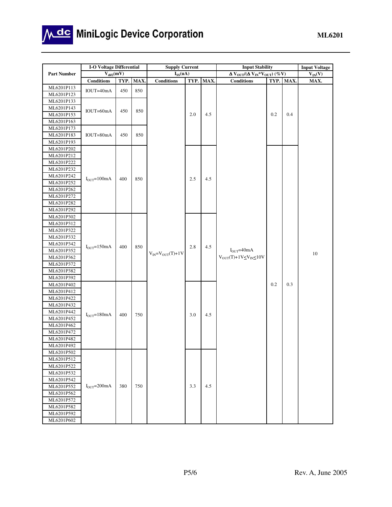

# Mdc MiniLogic Device Corporation

|                          | <b>I-O Voltage Differential</b> |      |      | <b>Supply Current</b> |      |            | <b>Input Stability</b>                                                |                            |      | <b>Input Voltage</b> |                 |  |  |    |
|--------------------------|---------------------------------|------|------|-----------------------|------|------------|-----------------------------------------------------------------------|----------------------------|------|----------------------|-----------------|--|--|----|
| <b>Part Number</b>       | $V_{dif2}(mV)$                  |      |      | $I_{SS}(uA)$          |      |            | $\Delta$ $\rm V_{OUT}/(\Delta$ $\rm V_{IN}$ $\rm ^*V_{OUT})$ $(\%$ V) |                            |      | $V_{IN}(V)$          |                 |  |  |    |
|                          | <b>Conditions</b>               | TYP. | MAX. | <b>Conditions</b>     | TYP. | MAX.       | <b>Conditions</b>                                                     | TYP.                       | MAX. | MAX.                 |                 |  |  |    |
| ML6201P113               | IOUT=40mA                       | 450  | 850  |                       |      |            |                                                                       |                            |      |                      |                 |  |  |    |
| ML6201P123               |                                 |      |      |                       |      |            |                                                                       |                            |      |                      |                 |  |  |    |
| ML6201P133               |                                 |      |      |                       |      |            |                                                                       |                            |      |                      |                 |  |  |    |
| ML6201P143               | IOUT=60mA                       | 450  | 850  |                       |      |            |                                                                       |                            |      |                      |                 |  |  |    |
| ML6201P153               |                                 |      |      |                       | 2.0  | 4.5        |                                                                       | 0.2                        | 0.4  |                      |                 |  |  |    |
| ML6201P163               |                                 |      |      |                       |      |            |                                                                       |                            |      |                      |                 |  |  |    |
| ML6201P173               |                                 |      |      |                       |      |            |                                                                       |                            |      |                      |                 |  |  |    |
| ML6201P183               | IOUT=80mA                       | 450  | 850  |                       |      |            |                                                                       |                            |      |                      |                 |  |  |    |
| ML6201P193               |                                 |      |      |                       |      |            |                                                                       |                            |      |                      |                 |  |  |    |
| ML6201P202               |                                 |      |      |                       |      |            |                                                                       |                            |      |                      |                 |  |  |    |
| ML6201P212               |                                 |      |      |                       |      |            |                                                                       |                            |      |                      |                 |  |  |    |
| ML6201P222               |                                 |      |      |                       |      |            |                                                                       |                            |      |                      |                 |  |  |    |
| ML6201P232               |                                 |      |      |                       |      |            |                                                                       |                            |      |                      |                 |  |  |    |
| ML6201P242               | $I_{OUT} = 100mA$               | 400  | 850  |                       | 2.5  | 4.5        |                                                                       |                            |      |                      |                 |  |  |    |
| ML6201P252               |                                 |      |      |                       |      |            |                                                                       |                            |      |                      |                 |  |  |    |
| ML6201P262               |                                 |      |      |                       |      |            |                                                                       |                            |      |                      |                 |  |  |    |
| ML6201P272               |                                 |      |      |                       |      |            |                                                                       |                            |      |                      |                 |  |  |    |
| ML6201P282               |                                 |      |      |                       |      |            |                                                                       |                            |      |                      |                 |  |  |    |
| ML6201P292               |                                 |      |      |                       |      |            |                                                                       |                            |      |                      |                 |  |  |    |
| ML6201P302               |                                 |      |      |                       |      |            |                                                                       |                            |      |                      |                 |  |  |    |
| ML6201P312               |                                 |      |      |                       |      |            |                                                                       |                            |      |                      |                 |  |  |    |
| ML6201P322               |                                 |      |      |                       |      |            |                                                                       |                            |      |                      |                 |  |  |    |
| ML6201P332               |                                 |      |      |                       |      |            |                                                                       |                            |      |                      |                 |  |  |    |
| ML6201P342               | $IOUT=150mA$                    | 400  | 850  |                       |      | 2.8<br>4.5 |                                                                       |                            |      |                      |                 |  |  |    |
| ML6201P352               |                                 |      |      |                       |      |            |                                                                       | $V_{IN} = V_{OUT}(T) + 1V$ |      |                      | $I_{OUT}$ =40mA |  |  | 10 |
| ML6201P362               |                                 |      |      |                       |      |            | $V_{OUT}(T)+1V_{S}V_{IN} \le 10V$                                     |                            |      |                      |                 |  |  |    |
| ML6201P372               |                                 |      |      |                       |      |            |                                                                       |                            |      |                      |                 |  |  |    |
| ML6201P382               |                                 |      |      |                       |      |            |                                                                       |                            |      |                      |                 |  |  |    |
| ML6201P392               |                                 |      |      |                       |      |            |                                                                       |                            |      |                      |                 |  |  |    |
| ML6201P402               |                                 |      |      |                       |      |            |                                                                       | 0.2                        | 0.3  |                      |                 |  |  |    |
| ML6201P412               |                                 |      |      |                       |      |            |                                                                       |                            |      |                      |                 |  |  |    |
| ML6201P422               |                                 |      |      |                       |      |            |                                                                       |                            |      |                      |                 |  |  |    |
| ML6201P432               |                                 |      |      |                       |      |            |                                                                       |                            |      |                      |                 |  |  |    |
| ML6201P442               | $I_{OUT} = 180mA$               | 400  | 750  |                       | 3.0  | 4.5        |                                                                       |                            |      |                      |                 |  |  |    |
| ML6201P452               |                                 |      |      |                       |      |            |                                                                       |                            |      |                      |                 |  |  |    |
| ML6201P462               |                                 |      |      |                       |      |            |                                                                       |                            |      |                      |                 |  |  |    |
| ML6201P472               |                                 |      |      |                       |      |            |                                                                       |                            |      |                      |                 |  |  |    |
| ML6201P482               |                                 |      |      |                       |      |            |                                                                       |                            |      |                      |                 |  |  |    |
| ML6201P492<br>ML6201P502 |                                 |      |      |                       |      |            |                                                                       |                            |      |                      |                 |  |  |    |
|                          |                                 |      |      |                       |      |            |                                                                       |                            |      |                      |                 |  |  |    |
| ML6201P512<br>ML6201P522 |                                 |      |      |                       |      |            |                                                                       |                            |      |                      |                 |  |  |    |
| ML6201P532               |                                 |      |      |                       |      |            |                                                                       |                            |      |                      |                 |  |  |    |
| ML6201P542               |                                 |      |      |                       |      |            |                                                                       |                            |      |                      |                 |  |  |    |
| ML6201P552               | $I_{OUT} = 200mA$               | 380  | 750  |                       | 3.3  | 4.5        |                                                                       |                            |      |                      |                 |  |  |    |
| ML6201P562               |                                 |      |      |                       |      |            |                                                                       |                            |      |                      |                 |  |  |    |
| ML6201P572               |                                 |      |      |                       |      |            |                                                                       |                            |      |                      |                 |  |  |    |
| ML6201P582               |                                 |      |      |                       |      |            |                                                                       |                            |      |                      |                 |  |  |    |
| ML6201P592               |                                 |      |      |                       |      |            |                                                                       |                            |      |                      |                 |  |  |    |
| ML6201P602               |                                 |      |      |                       |      |            |                                                                       |                            |      |                      |                 |  |  |    |